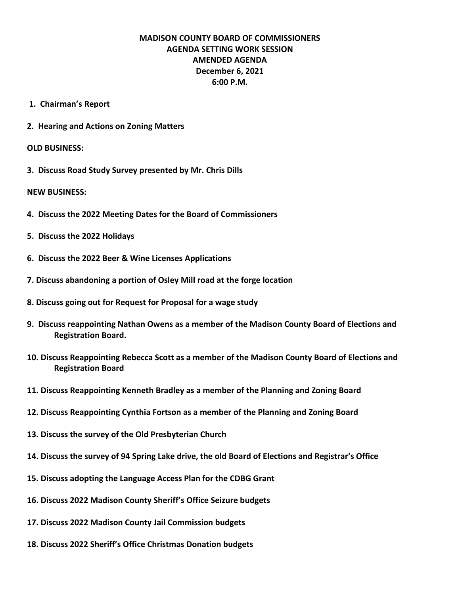## **MADISON COUNTY BOARD OF COMMISSIONERS AGENDA SETTING WORK SESSION AMENDED AGENDA December 6, 2021 6:00 P.M.**

- **1. Chairman's Report**
- **2. Hearing and Actions on Zoning Matters**

## **OLD BUSINESS:**

**3. Discuss Road Study Survey presented by Mr. Chris Dills**

## **NEW BUSINESS:**

- **4. Discuss the 2022 Meeting Dates for the Board of Commissioners**
- **5. Discuss the 2022 Holidays**
- **6. Discuss the 2022 Beer & Wine Licenses Applications**
- **7. Discuss abandoning a portion of Osley Mill road at the forge location**
- **8. Discuss going out for Request for Proposal for a wage study**
- **9. Discuss reappointing Nathan Owens as a member of the Madison County Board of Elections and Registration Board.**
- **10. Discuss Reappointing Rebecca Scott as a member of the Madison County Board of Elections and Registration Board**
- **11. Discuss Reappointing Kenneth Bradley as a member of the Planning and Zoning Board**
- **12. Discuss Reappointing Cynthia Fortson as a member of the Planning and Zoning Board**
- **13. Discuss the survey of the Old Presbyterian Church**
- **14. Discuss the survey of 94 Spring Lake drive, the old Board of Elections and Registrar's Office**
- **15. Discuss adopting the Language Access Plan for the CDBG Grant**
- **16. Discuss 2022 Madison County Sheriff's Office Seizure budgets**
- **17. Discuss 2022 Madison County Jail Commission budgets**
- **18. Discuss 2022 Sheriff's Office Christmas Donation budgets**